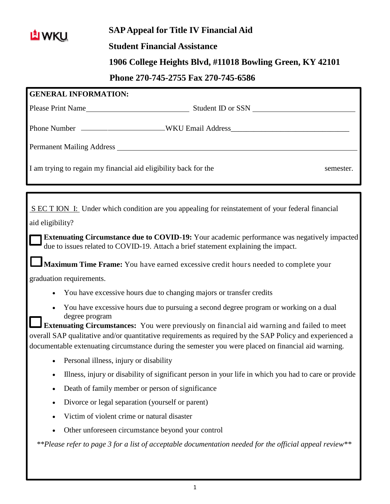

## **SAPAppeal for Title IV Financial Aid**

## **Student Financial Assistance**

## **1906 College Heights Blvd, #11018 Bowling Green, KY 42101**

## **Phone 270-745-2755 Fax 270-745-6586**

|                                                                                                                                                                                                                                      | <b>GENERAL INFORMATION:</b>                                                                                                                                                                                   |  |  |  |  |  |  |  |
|--------------------------------------------------------------------------------------------------------------------------------------------------------------------------------------------------------------------------------------|---------------------------------------------------------------------------------------------------------------------------------------------------------------------------------------------------------------|--|--|--|--|--|--|--|
|                                                                                                                                                                                                                                      |                                                                                                                                                                                                               |  |  |  |  |  |  |  |
|                                                                                                                                                                                                                                      |                                                                                                                                                                                                               |  |  |  |  |  |  |  |
|                                                                                                                                                                                                                                      |                                                                                                                                                                                                               |  |  |  |  |  |  |  |
| Permanent Mailing Address <b>Exercísie Service Service Service Service Service Service Service Service Service Service Service Service Service Service Service Service Service Service Service Service Service Service Service S</b> |                                                                                                                                                                                                               |  |  |  |  |  |  |  |
|                                                                                                                                                                                                                                      |                                                                                                                                                                                                               |  |  |  |  |  |  |  |
|                                                                                                                                                                                                                                      | I am trying to regain my financial aid eligibility back for the<br>semester.                                                                                                                                  |  |  |  |  |  |  |  |
|                                                                                                                                                                                                                                      |                                                                                                                                                                                                               |  |  |  |  |  |  |  |
|                                                                                                                                                                                                                                      |                                                                                                                                                                                                               |  |  |  |  |  |  |  |
| S EC T ION I: Under which condition are you appealing for reinstatement of your federal financial                                                                                                                                    |                                                                                                                                                                                                               |  |  |  |  |  |  |  |
| aid eligibility?                                                                                                                                                                                                                     |                                                                                                                                                                                                               |  |  |  |  |  |  |  |
| Extenuating Circumstance due to COVID-19: Your academic performance was negatively impacted                                                                                                                                          |                                                                                                                                                                                                               |  |  |  |  |  |  |  |
|                                                                                                                                                                                                                                      | due to issues related to COVID-19. Attach a brief statement explaining the impact.                                                                                                                            |  |  |  |  |  |  |  |
| Maximum Time Frame: You have earned excessive credit hours needed to complete your                                                                                                                                                   |                                                                                                                                                                                                               |  |  |  |  |  |  |  |
|                                                                                                                                                                                                                                      | graduation requirements.                                                                                                                                                                                      |  |  |  |  |  |  |  |
|                                                                                                                                                                                                                                      | You have excessive hours due to changing majors or transfer credits                                                                                                                                           |  |  |  |  |  |  |  |
|                                                                                                                                                                                                                                      | You have excessive hours due to pursuing a second degree program or working on a dual                                                                                                                         |  |  |  |  |  |  |  |
|                                                                                                                                                                                                                                      | degree program                                                                                                                                                                                                |  |  |  |  |  |  |  |
|                                                                                                                                                                                                                                      | <b>Extenuating Circumstances:</b> You were previously on financial aid warning and failed to meet<br>overall SAP qualitative and/or quantitative requirements as required by the SAP Policy and experienced a |  |  |  |  |  |  |  |
|                                                                                                                                                                                                                                      | documentable extenuating circumstance during the semester you were placed on financial aid warning.                                                                                                           |  |  |  |  |  |  |  |
|                                                                                                                                                                                                                                      | Personal illness, injury or disability                                                                                                                                                                        |  |  |  |  |  |  |  |
|                                                                                                                                                                                                                                      | Illness, injury or disability of significant person in your life in which you had to care or provide                                                                                                          |  |  |  |  |  |  |  |
|                                                                                                                                                                                                                                      | Death of family member or person of significance                                                                                                                                                              |  |  |  |  |  |  |  |
| ٠                                                                                                                                                                                                                                    | Divorce or legal separation (yourself or parent)                                                                                                                                                              |  |  |  |  |  |  |  |
|                                                                                                                                                                                                                                      | Victim of violent crime or natural disaster                                                                                                                                                                   |  |  |  |  |  |  |  |
|                                                                                                                                                                                                                                      | Other unforeseen circumstance beyond your control                                                                                                                                                             |  |  |  |  |  |  |  |
|                                                                                                                                                                                                                                      |                                                                                                                                                                                                               |  |  |  |  |  |  |  |
|                                                                                                                                                                                                                                      | **Please refer to page 3 for a list of acceptable documentation needed for the official appeal review**                                                                                                       |  |  |  |  |  |  |  |
|                                                                                                                                                                                                                                      |                                                                                                                                                                                                               |  |  |  |  |  |  |  |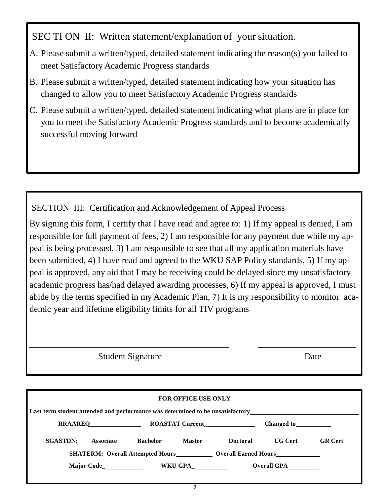SEC TI ON II: Written statement/explanation of your situation.

- A. Please submit a written/typed, detailed statement indicating the reason(s) you failed to meet Satisfactory Academic Progress standards
- B. Please submit a written/typed, detailed statement indicating how your situation has changed to allow you to meet Satisfactory Academic Progress standards
- C. Please submit a written/typed, detailed statement indicating what plans are in place for you to meet the Satisfactory Academic Progress standards and to become academically successful moving forward

SECTION III: Certification and Acknowledgement of Appeal Process

By signing this form, I certify that I have read and agree to: 1) If my appeal is denied, I am responsible for full payment of fees, 2) I am responsible for any payment due while my appeal is being processed, 3) I am responsible to see that all my application materials have been submitted, 4) I have read and agreed to the WKU SAP Policy standards, 5) If my appeal is approved, any aid that I may be receiving could be delayed since my unsatisfactory academic progress has/had delayed awarding processes, 6) If my appeal is approved, I must abide by the terms specified in my Academic Plan, 7) It is my responsibility to monitor academic year and lifetime eligibility limits for all TIV programs

Student Signature Date

| <b>FOR OFFICE USE ONLY</b>                                                                                                                                                                                                     |                  |                 |               |                    |                |                |  |  |  |
|--------------------------------------------------------------------------------------------------------------------------------------------------------------------------------------------------------------------------------|------------------|-----------------|---------------|--------------------|----------------|----------------|--|--|--|
| Last term student attended and performance was determined to be unsatisfactory example and the state of the state of the state of the state of the state of the state of the state of the state of the state of the state of t |                  |                 |               |                    |                |                |  |  |  |
|                                                                                                                                                                                                                                |                  |                 |               | Changed to         |                |                |  |  |  |
| <b>SGASTDN:</b>                                                                                                                                                                                                                | <b>Associate</b> | <b>Bachelor</b> | <b>Master</b> | <b>Doctoral</b>    | <b>UG</b> Cert | <b>GR</b> Cert |  |  |  |
| <b>SHATERM:</b> Overall Attempted Hours <b>Conserversity Overall Earned Hours</b>                                                                                                                                              |                  |                 |               |                    |                |                |  |  |  |
|                                                                                                                                                                                                                                |                  | WKU GPA_        |               | <b>Overall GPA</b> |                |                |  |  |  |
|                                                                                                                                                                                                                                |                  |                 |               |                    |                |                |  |  |  |